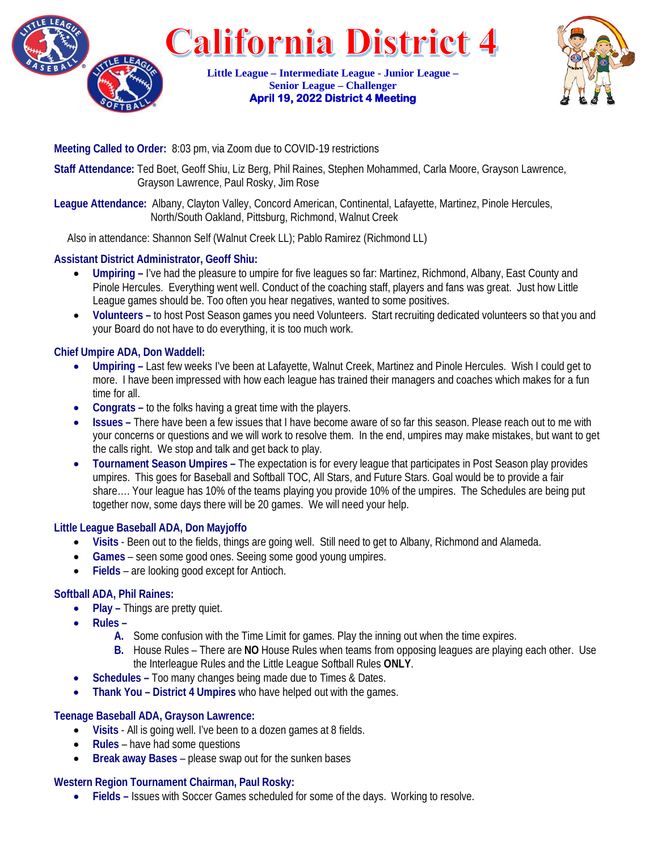

**California District 4 Little League – Intermediate League - Junior League –** 

> **Senior League – Challenger April 19, 2022 District 4 Meeting**



## **Meeting Called to Order:** 8:03 pm, via Zoom due to COVID-19 restrictions

**Staff Attendance:** Ted Boet, Geoff Shiu, Liz Berg, Phil Raines, Stephen Mohammed, Carla Moore, Grayson Lawrence, Grayson Lawrence, Paul Rosky, Jim Rose

**League Attendance:** Albany, Clayton Valley, Concord American, Continental, Lafayette, Martinez, Pinole Hercules, North/South Oakland, Pittsburg, Richmond, Walnut Creek

Also in attendance: Shannon Self (Walnut Creek LL); Pablo Ramirez (Richmond LL)

## **Assistant District Administrator, Geoff Shiu:**

- **Umpiring –** I've had the pleasure to umpire for five leagues so far: Martinez, Richmond, Albany, East County and Pinole Hercules. Everything went well. Conduct of the coaching staff, players and fans was great. Just how Little League games should be. Too often you hear negatives, wanted to some positives.
- **Volunteers –** to host Post Season games you need Volunteers. Start recruiting dedicated volunteers so that you and your Board do not have to do everything, it is too much work.

### **Chief Umpire ADA, Don Waddell:**

- **Umpiring –** Last few weeks I've been at Lafayette, Walnut Creek, Martinez and Pinole Hercules. Wish I could get to more. I have been impressed with how each league has trained their managers and coaches which makes for a fun time for all.
- **Congrats –** to the folks having a great time with the players.
- **Issues –** There have been a few issues that I have become aware of so far this season. Please reach out to me with your concerns or questions and we will work to resolve them. In the end, umpires may make mistakes, but want to get the calls right.We stop and talk and get back to play.
- **Tournament Season Umpires –** The expectation is for every league that participates in Post Season play provides umpires. This goes for Baseball and Softball TOC, All Stars, and Future Stars. Goal would be to provide a fair share…. Your league has 10% of the teams playing you provide 10% of the umpires. The Schedules are being put together now, some days there will be 20 games. We will need your help.

#### **Little League Baseball ADA, Don Mayjoffo**

- **Visits** Been out to the fields, things are going well. Still need to get to Albany, Richmond and Alameda.
- **Games**  seen some good ones. Seeing some good young umpires.
- **Fields**  are looking good except for Antioch.

### **Softball ADA, Phil Raines:**

- **Play –** Things are pretty quiet.
- **Rules –**
	- **A.** Some confusion with the Time Limit for games. Play the inning out when the time expires.
	- **B.** House Rules There are **NO** House Rules when teams from opposing leagues are playing each other. Use the Interleague Rules and the Little League Softball Rules **ONLY**.
- **Schedules –** Too many changes being made due to Times & Dates.
- **Thank You – District 4 Umpires** who have helped out with the games.

### **Teenage Baseball ADA, Grayson Lawrence:**

- **Visits** All is going well. I've been to a dozen games at 8 fields.
- **Rules** have had some questions
- **Break away Bases**  please swap out for the sunken bases

#### **Western Region Tournament Chairman, Paul Rosky:**

• **Fields –** Issues with Soccer Games scheduled for some of the days. Working to resolve.